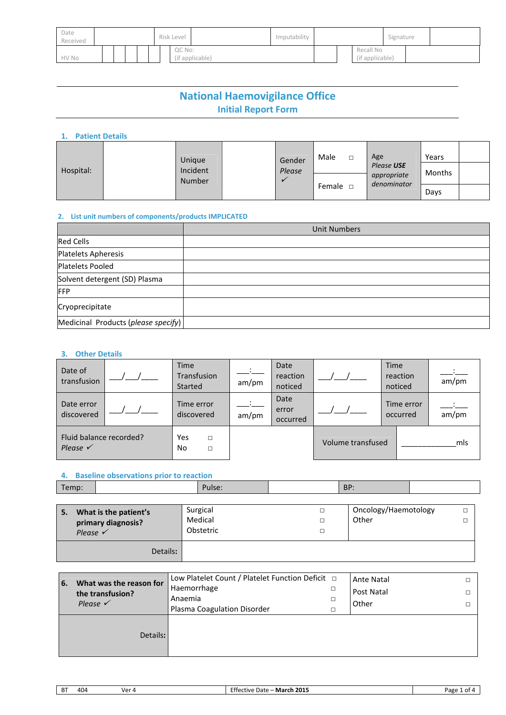| Date<br>Received |  |  | Risk Level |  | Imputability |  |        | Signature       |  |  |  |                              |  |  |
|------------------|--|--|------------|--|--------------|--|--------|-----------------|--|--|--|------------------------------|--|--|
| HV No            |  |  |            |  |              |  | QC No: | (if applicable) |  |  |  | Recall No<br>(if applicable) |  |  |

## **National Haemovigilance Office Initial Report Form**

#### **1. Patient Details**

| Hospital: | Unique             |  | Gender | Male          |                           | Age    | Years |  |
|-----------|--------------------|--|--------|---------------|---------------------------|--------|-------|--|
|           | Incident<br>Number |  | Please |               | Please USE<br>appropriate | Months |       |  |
|           |                    |  |        | Female $\Box$ | denominator               | Days   |       |  |

#### **2. List unit numbers of components/products IMPLICATED**

|                                     | <b>Unit Numbers</b> |
|-------------------------------------|---------------------|
| <b>Red Cells</b>                    |                     |
| <b>Platelets Apheresis</b>          |                     |
| Platelets Pooled                    |                     |
| Solvent detergent (SD) Plasma       |                     |
| <b>IFFP</b>                         |                     |
| Cryoprecipitate                     |                     |
| Medicinal Products (please specify) |                     |

#### **3. Other Details**

| Date of<br>transfusion                         | <b>Time</b><br>Transfusion<br>Started | am/pm | Date<br>reaction<br>noticed |                   | <b>Time</b><br>reaction<br>noticed | am/pm |
|------------------------------------------------|---------------------------------------|-------|-----------------------------|-------------------|------------------------------------|-------|
| Date error<br>discovered                       | Time error<br>discovered              | am/pm | Date<br>error<br>occurred   |                   | Time error<br>occurred             | am/pm |
| Fluid balance recorded?<br>Please $\checkmark$ | Yes<br>П<br>No<br>П                   |       |                             | Volume transfused |                                    | mls   |

#### **4. Baseline observations prior to reaction**

| Temp:                     |                                             | Pulse:                           | BP:                           |        |
|---------------------------|---------------------------------------------|----------------------------------|-------------------------------|--------|
| 5.<br>Please $\checkmark$ | What is the patient's<br>primary diagnosis? | Surgical<br>Medical<br>Obstetric | Oncology/Haemotology<br>Other | П<br>Ω |
|                           | Details:                                    |                                  |                               |        |

| What was the reason for<br>6. | Low Platelet Count / Platelet Function Deficit $\Box$ | <b>Ante Natal</b> |  |
|-------------------------------|-------------------------------------------------------|-------------------|--|
| the transfusion?              | Haemorrhage                                           | Post Natal        |  |
| Please $\checkmark$           | Anaemia                                               | Other             |  |
|                               | Plasma Coagulation Disorder                           |                   |  |
| Details:                      |                                                       |                   |  |

| <b>BT</b><br>- March 2015<br>404<br>Date -<br>۷er<br>ective<br>. .<br>∼ | Page<br>nt 4<br>$\cdot$ |
|-------------------------------------------------------------------------|-------------------------|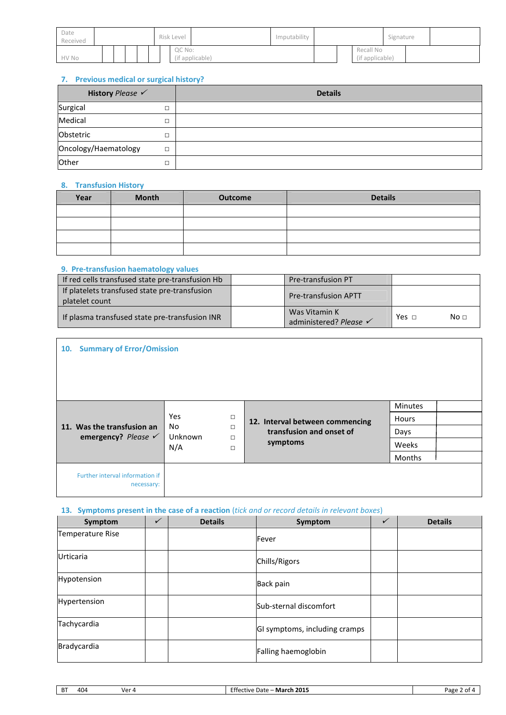| Date<br>Received |  |  | Risk Level |  | Imputability |  |        | Signature       |  |  |  |                              |  |  |
|------------------|--|--|------------|--|--------------|--|--------|-----------------|--|--|--|------------------------------|--|--|
| HV No            |  |  |            |  |              |  | QC No: | (if applicable) |  |  |  | Recall No<br>(if applicable) |  |  |

#### **7. Previous medical or surgical history?**

| History Please       |                               | <b>Details</b> |
|----------------------|-------------------------------|----------------|
| Surgical             | $\overline{\phantom{0}}$<br>ப |                |
| Medical              | $\overline{\phantom{0}}$      |                |
| Obstetric            | $\overline{\phantom{0}}$      |                |
| Oncology/Haematology | $\Box$                        |                |
| Other                |                               |                |

#### **8. Transfusion History**

| Year | <b>Month</b> | <b>Outcome</b> | <b>Details</b> |
|------|--------------|----------------|----------------|
|      |              |                |                |
|      |              |                |                |
|      |              |                |                |
|      |              |                |                |

#### **9. Pre-transfusion haematology values**

| If red cells transfused state pre-transfusion Hb                | Pre-transfusion PT                      |              |                 |
|-----------------------------------------------------------------|-----------------------------------------|--------------|-----------------|
| If platelets transfused state pre-transfusion<br>platelet count | <b>Pre-transfusion APTT</b>             |              |                 |
| If plasma transfused state pre-transfusion INR                  | Was Vitamin K<br>administered? Please √ | Yes $\sqcap$ | No <sub>1</sub> |

| 10. Summary of Error/Omission                                |                                   |                                 |              |  |  |  |  |  |  |
|--------------------------------------------------------------|-----------------------------------|---------------------------------|--------------|--|--|--|--|--|--|
|                                                              |                                   |                                 |              |  |  |  |  |  |  |
|                                                              |                                   |                                 | Minutes      |  |  |  |  |  |  |
|                                                              | Yes<br>$\Box$                     | 12. Interval between commencing | <b>Hours</b> |  |  |  |  |  |  |
| 11. Was the transfusion an<br>emergency? Please $\checkmark$ | No<br>$\Box$<br>Unknown<br>$\Box$ | transfusion and onset of        | Days         |  |  |  |  |  |  |
|                                                              | N/A<br>$\Box$                     | symptoms                        | Weeks        |  |  |  |  |  |  |
|                                                              |                                   |                                 | Months       |  |  |  |  |  |  |
| Further interval information if<br>necessary:                |                                   |                                 |              |  |  |  |  |  |  |

#### **13. Symptoms present in the case of a reaction** (*tick and or record details in relevant boxes*)

| Symptom          | <b>Details</b> | Symptom                       | v | <b>Details</b> |
|------------------|----------------|-------------------------------|---|----------------|
| Temperature Rise |                | Fever                         |   |                |
| <b>Urticaria</b> |                | Chills/Rigors                 |   |                |
| Hypotension      |                | Back pain                     |   |                |
| Hypertension     |                | Sub-sternal discomfort        |   |                |
| Tachycardia      |                | GI symptoms, including cramps |   |                |
| Bradycardia      |                | Falling haemoglobin           |   |                |

| D <sup>-</sup><br>325 |   |     |     |                                    |      |
|-----------------------|---|-----|-----|------------------------------------|------|
|                       | Þ | 404 | ۷er | ch 2015<br>- March<br>tive<br>Date | יסבי |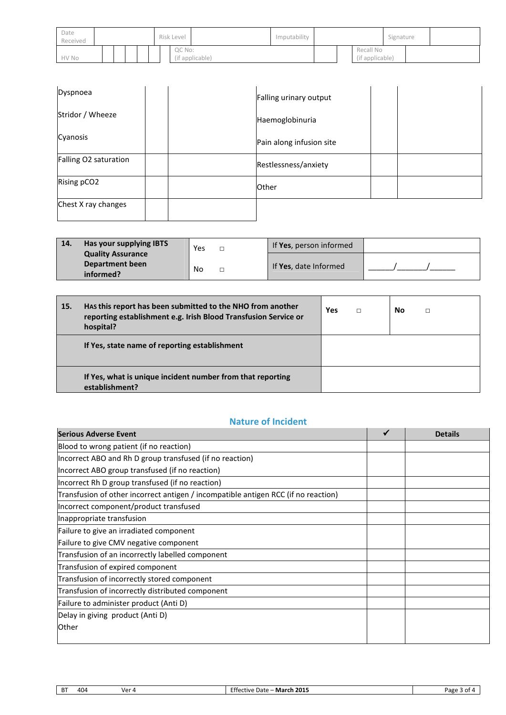| Date<br>Received |  |  | Risk Level |  |  | Imputability |        |                 | Signature |  |                              |  |  |
|------------------|--|--|------------|--|--|--------------|--------|-----------------|-----------|--|------------------------------|--|--|
| HV No            |  |  |            |  |  |              | QC No: | (if applicable) |           |  | Recall No<br>(if applicable) |  |  |

| Dyspnoea              | Falling urinary output   |  |
|-----------------------|--------------------------|--|
| Stridor / Wheeze      | Haemoglobinuria          |  |
| Cyanosis              | Pain along infusion site |  |
| Falling O2 saturation | Restlessness/anxiety     |  |
| Rising pCO2           | <b>Other</b>             |  |
| Chest X ray changes   |                          |  |

| 14. | Has your supplying IBTS                     | Yes | If Yes, person informed |  |
|-----|---------------------------------------------|-----|-------------------------|--|
|     | <b>Quality Assurance</b><br>Department been | No  | If Yes, date Informed   |  |
|     | informed?                                   |     |                         |  |

| 15. | Has this report has been submitted to the NHO from another<br>reporting establishment e.g. Irish Blood Transfusion Service or<br>hospital? | <b>Yes</b> | $\Box$ | No | П |
|-----|--------------------------------------------------------------------------------------------------------------------------------------------|------------|--------|----|---|
|     | If Yes, state name of reporting establishment                                                                                              |            |        |    |   |
|     | If Yes, what is unique incident number from that reporting<br>establishment?                                                               |            |        |    |   |

### **Nature of Incident**

| Serious Adverse Event                                                              | <b>Details</b> |
|------------------------------------------------------------------------------------|----------------|
| Blood to wrong patient (if no reaction)                                            |                |
| Incorrect ABO and Rh D group transfused (if no reaction)                           |                |
| Incorrect ABO group transfused (if no reaction)                                    |                |
| Incorrect Rh D group transfused (if no reaction)                                   |                |
| Transfusion of other incorrect antigen / incompatible antigen RCC (if no reaction) |                |
| Incorrect component/product transfused                                             |                |
| Inappropriate transfusion                                                          |                |
| Failure to give an irradiated component                                            |                |
| Failure to give CMV negative component                                             |                |
| Transfusion of an incorrectly labelled component                                   |                |
| Transfusion of expired component                                                   |                |
| Transfusion of incorrectly stored component                                        |                |
| Transfusion of incorrectly distributed component                                   |                |
| Failure to administer product (Anti D)                                             |                |
| Delay in giving product (Anti D)                                                   |                |
| Other                                                                              |                |

| D.<br>D | 404 | ۱/ar<br>∼ | <b>March 2015</b><br>Date -<br>∵etiv≏<br>. TP 1 | Pape<br>nt |
|---------|-----|-----------|-------------------------------------------------|------------|
|         |     |           |                                                 |            |